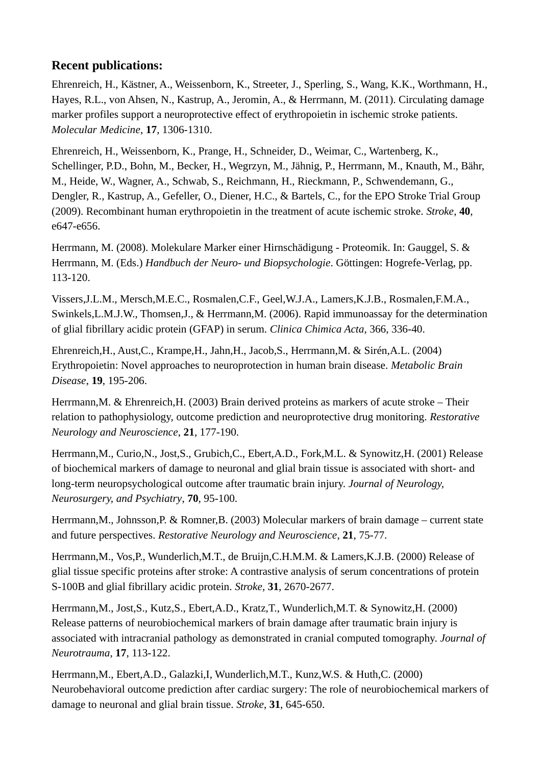## **Recent publications:**

Ehrenreich, H., Kästner, A., Weissenborn, K., Streeter, J., Sperling, S., Wang, K.K., Worthmann, H., Hayes, R.L., von Ahsen, N., Kastrup, A., Jeromin, A., & Herrmann, M. (2011). Circulating damage marker profiles support a neuroprotective effect of erythropoietin in ischemic stroke patients. *Molecular Medicine*, **17**, 1306-1310.

Ehrenreich, H., Weissenborn, K., Prange, H., Schneider, D., Weimar, C., Wartenberg, K., Schellinger, P.D., Bohn, M., Becker, H., Wegrzyn, M., Jähnig, P., Herrmann, M., Knauth, M., Bähr, M., Heide, W., Wagner, A., Schwab, S., Reichmann, H., Rieckmann, P., Schwendemann, G., Dengler, R., Kastrup, A., Gefeller, O., Diener, H.C., & Bartels, C., for the EPO Stroke Trial Group (2009). Recombinant human erythropoietin in the treatment of acute ischemic stroke. *Stroke*, **40**, e647-e656.

Herrmann, M. (2008). Molekulare Marker einer Hirnschädigung - Proteomik. In: Gauggel, S. & Herrmann, M. (Eds.) *Handbuch der Neuro- und Biopsychologie*. Göttingen: Hogrefe-Verlag, pp. 113-120.

Vissers,J.L.M., Mersch,M.E.C., Rosmalen,C.F., Geel,W.J.A., Lamers,K.J.B., Rosmalen,F.M.A., Swinkels,L.M.J.W., Thomsen,J., & Herrmann,M. (2006). Rapid immunoassay for the determination of glial fibrillary acidic protein (GFAP) in serum. *Clinica Chimica Acta*, 366, 336-40.

Ehrenreich,H., Aust,C., Krampe,H., Jahn,H., Jacob,S., Herrmann,M. & Sirén,A.L. (2004) Erythropoietin: Novel approaches to neuroprotection in human brain disease. *Metabolic Brain Disease*, **19**, 195-206.

Herrmann,M. & Ehrenreich,H. (2003) Brain derived proteins as markers of acute stroke – Their relation to pathophysiology, outcome prediction and neuroprotective drug monitoring. *Restorative Neurology and Neuroscience*, **21**, 177-190.

Herrmann,M., Curio,N., Jost,S., Grubich,C., Ebert,A.D., Fork,M.L. & Synowitz,H. (2001) Release of biochemical markers of damage to neuronal and glial brain tissue is associated with short- and long-term neuropsychological outcome after traumatic brain injury. *Journal of Neurology, Neurosurgery, and Psychiatry*, **70**, 95-100.

Herrmann,M., Johnsson,P. & Romner,B. (2003) Molecular markers of brain damage – current state and future perspectives. *Restorative Neurology and Neuroscience*, **21**, 75-77.

Herrmann,M., Vos,P., Wunderlich,M.T., de Bruijn,C.H.M.M. & Lamers,K.J.B. (2000) Release of glial tissue specific proteins after stroke: A contrastive analysis of serum concentrations of protein S-100B and glial fibrillary acidic protein. *Stroke*, **31**, 2670-2677.

Herrmann,M., Jost,S., Kutz,S., Ebert,A.D., Kratz,T., Wunderlich,M.T. & Synowitz,H. (2000) Release patterns of neurobiochemical markers of brain damage after traumatic brain injury is associated with intracranial pathology as demonstrated in cranial computed tomography. *Journal of Neurotrauma*, **17**, 113-122.

Herrmann,M., Ebert,A.D., Galazki,I, Wunderlich,M.T., Kunz,W.S. & Huth,C. (2000) Neurobehavioral outcome prediction after cardiac surgery: The role of neurobiochemical markers of damage to neuronal and glial brain tissue. *Stroke*, **31**, 645-650.